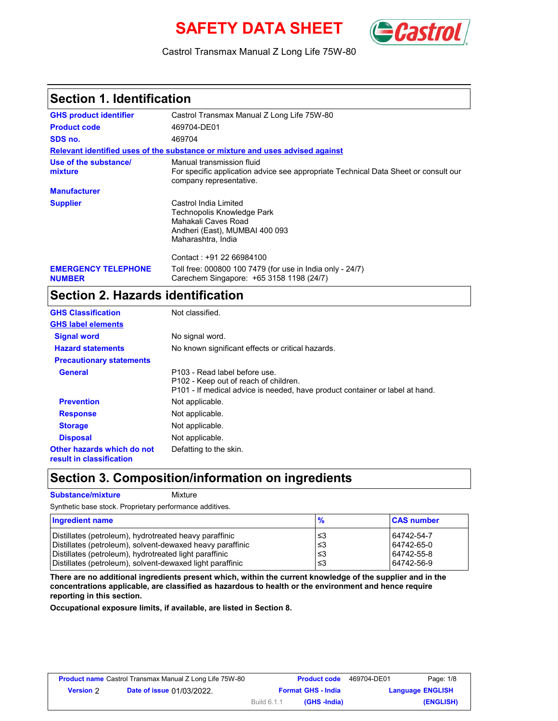# SAFETY DATA SHEET **SAFETY**



### Castrol Transmax Manual Z Long Life 75W-80

### **Section 1. Identification**

| <b>GHS product identifier</b>               | Castrol Transmax Manual Z Long Life 75W-80                                                                                                  |  |  |  |
|---------------------------------------------|---------------------------------------------------------------------------------------------------------------------------------------------|--|--|--|
| <b>Product code</b>                         | 469704-DE01                                                                                                                                 |  |  |  |
| SDS no.                                     | 469704                                                                                                                                      |  |  |  |
|                                             | Relevant identified uses of the substance or mixture and uses advised against                                                               |  |  |  |
| Use of the substance/<br>mixture            | Manual transmission fluid<br>For specific application advice see appropriate Technical Data Sheet or consult our<br>company representative. |  |  |  |
| <b>Manufacturer</b>                         |                                                                                                                                             |  |  |  |
| <b>Supplier</b>                             | Castrol India Limited<br>Technopolis Knowledge Park<br>Mahakali Caves Road<br>Andheri (East), MUMBAI 400 093<br>Maharashtra, India          |  |  |  |
|                                             | Contact: +91 22 66984100                                                                                                                    |  |  |  |
| <b>EMERGENCY TELEPHONE</b><br><b>NUMBER</b> | Toll free: 000800 100 7479 (for use in India only - 24/7)<br>Carechem Singapore: +65 3158 1198 (24/7)                                       |  |  |  |

## **Section 2. Hazards identification**

| <b>GHS Classification</b>                              | Not classified.                                                                                                                                        |
|--------------------------------------------------------|--------------------------------------------------------------------------------------------------------------------------------------------------------|
| <b>GHS label elements</b>                              |                                                                                                                                                        |
| <b>Signal word</b>                                     | No signal word.                                                                                                                                        |
| <b>Hazard statements</b>                               | No known significant effects or critical hazards.                                                                                                      |
| <b>Precautionary statements</b>                        |                                                                                                                                                        |
| General                                                | P103 - Read label before use.<br>P102 - Keep out of reach of children.<br>P101 - If medical advice is needed, have product container or label at hand. |
| <b>Prevention</b>                                      | Not applicable.                                                                                                                                        |
| <b>Response</b>                                        | Not applicable.                                                                                                                                        |
| <b>Storage</b>                                         | Not applicable.                                                                                                                                        |
| <b>Disposal</b>                                        | Not applicable.                                                                                                                                        |
| Other hazards which do not<br>result in classification | Defatting to the skin.                                                                                                                                 |

## **Section 3. Composition/information on ingredients**

#### **Substance/mixture** Mixture

Synthetic base stock. Proprietary performance additives.

| Ingredient name                                           | $\frac{9}{6}$ | <b>CAS number</b> |
|-----------------------------------------------------------|---------------|-------------------|
| Distillates (petroleum), hydrotreated heavy paraffinic    | ו≥ ≥          | 64742-54-7        |
| Distillates (petroleum), solvent-dewaxed heavy paraffinic | ≤3            | 64742-65-0        |
| Distillates (petroleum), hydrotreated light paraffinic    | ≤3            | 64742-55-8        |
| Distillates (petroleum), solvent-dewaxed light paraffinic | ≤3            | 64742-56-9        |

**There are no additional ingredients present which, within the current knowledge of the supplier and in the concentrations applicable, are classified as hazardous to health or the environment and hence require reporting in this section.**

**Occupational exposure limits, if available, are listed in Section 8.**

| <b>Product name</b> Castrol Transmax Manual Z Long Life 75W-80 |                                  |                           | <b>Product code</b> | 469704-DE01             | Page: 1/8 |
|----------------------------------------------------------------|----------------------------------|---------------------------|---------------------|-------------------------|-----------|
| <b>Version</b> 2                                               | <b>Date of issue 01/03/2022.</b> | <b>Format GHS - India</b> |                     | <b>Language ENGLISH</b> |           |
|                                                                |                                  | Build 6.1.1               | (GHS -India)        |                         | (ENGLISH) |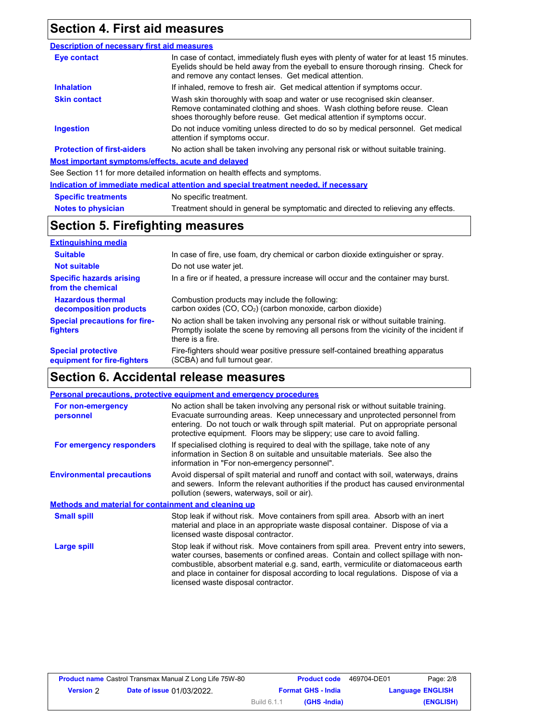### **Section 4. First aid measures**

#### **Eye contact Skin contact Inhalation Ingestion Description of necessary first aid measures Most important symptoms/effects, acute and delayed** See Section 11 for more detailed information on health effects and symptoms. **Protection of first-aiders** If inhaled, remove to fresh air. Get medical attention if symptoms occur. Do not induce vomiting unless directed to do so by medical personnel. Get medical attention if symptoms occur. Wash skin thoroughly with soap and water or use recognised skin cleanser. Remove contaminated clothing and shoes. Wash clothing before reuse. Clean shoes thoroughly before reuse. Get medical attention if symptoms occur. In case of contact, immediately flush eyes with plenty of water for at least 15 minutes. Eyelids should be held away from the eyeball to ensure thorough rinsing. Check for and remove any contact lenses. Get medical attention. No action shall be taken involving any personal risk or without suitable training.

|                            | Indication of immediate medical attention and special treatment needed, if necessary |
|----------------------------|--------------------------------------------------------------------------------------|
| <b>Specific treatments</b> | No specific treatment.                                                               |
| <b>Notes to physician</b>  | Treatment should in general be symptomatic and directed to relieving any effects.    |

## **Section 5. Firefighting measures**

| <b>Extinguishing media</b>                               |                                                                                                                                                                                                   |
|----------------------------------------------------------|---------------------------------------------------------------------------------------------------------------------------------------------------------------------------------------------------|
| <b>Suitable</b>                                          | In case of fire, use foam, dry chemical or carbon dioxide extinguisher or spray.                                                                                                                  |
| <b>Not suitable</b>                                      | Do not use water jet.                                                                                                                                                                             |
| <b>Specific hazards arising</b><br>from the chemical     | In a fire or if heated, a pressure increase will occur and the container may burst.                                                                                                               |
| <b>Hazardous thermal</b><br>decomposition products       | Combustion products may include the following:<br>carbon oxides (CO, CO <sub>2</sub> ) (carbon monoxide, carbon dioxide)                                                                          |
| <b>Special precautions for fire-</b><br><b>fighters</b>  | No action shall be taken involving any personal risk or without suitable training.<br>Promptly isolate the scene by removing all persons from the vicinity of the incident if<br>there is a fire. |
| <b>Special protective</b><br>equipment for fire-fighters | Fire-fighters should wear positive pressure self-contained breathing apparatus<br>(SCBA) and full turnout gear.                                                                                   |

### **Section 6. Accidental release measures**

|                                                      | Personal precautions, protective equipment and emergency procedures                                                                                                                                                                                                                                                                                                                                |
|------------------------------------------------------|----------------------------------------------------------------------------------------------------------------------------------------------------------------------------------------------------------------------------------------------------------------------------------------------------------------------------------------------------------------------------------------------------|
| For non-emergency<br>personnel                       | No action shall be taken involving any personal risk or without suitable training.<br>Evacuate surrounding areas. Keep unnecessary and unprotected personnel from<br>entering. Do not touch or walk through spilt material. Put on appropriate personal<br>protective equipment. Floors may be slippery; use care to avoid falling.                                                                |
| For emergency responders                             | If specialised clothing is required to deal with the spillage, take note of any<br>information in Section 8 on suitable and unsuitable materials. See also the<br>information in "For non-emergency personnel".                                                                                                                                                                                    |
| <b>Environmental precautions</b>                     | Avoid dispersal of spilt material and runoff and contact with soil, waterways, drains<br>and sewers. Inform the relevant authorities if the product has caused environmental<br>pollution (sewers, waterways, soil or air).                                                                                                                                                                        |
| Methods and material for containment and cleaning up |                                                                                                                                                                                                                                                                                                                                                                                                    |
| <b>Small spill</b>                                   | Stop leak if without risk. Move containers from spill area. Absorb with an inert<br>material and place in an appropriate waste disposal container. Dispose of via a<br>licensed waste disposal contractor.                                                                                                                                                                                         |
| Large spill                                          | Stop leak if without risk. Move containers from spill area. Prevent entry into sewers,<br>water courses, basements or confined areas. Contain and collect spillage with non-<br>combustible, absorbent material e.g. sand, earth, vermiculite or diatomaceous earth<br>and place in container for disposal according to local regulations. Dispose of via a<br>licensed waste disposal contractor. |

| <b>Product name</b> Castrol Transmax Manual Z Long Life 75W-80 |  |                                                      | <b>Product code</b> | 469704-DE01 | Page: 2/8 |
|----------------------------------------------------------------|--|------------------------------------------------------|---------------------|-------------|-----------|
| <b>Version</b> 2<br><b>Date of issue 01/03/2022.</b>           |  | <b>Format GHS - India</b><br><b>Language ENGLISH</b> |                     |             |           |
|                                                                |  | Build 6.1.1                                          | (GHS -India)        |             | (ENGLISH) |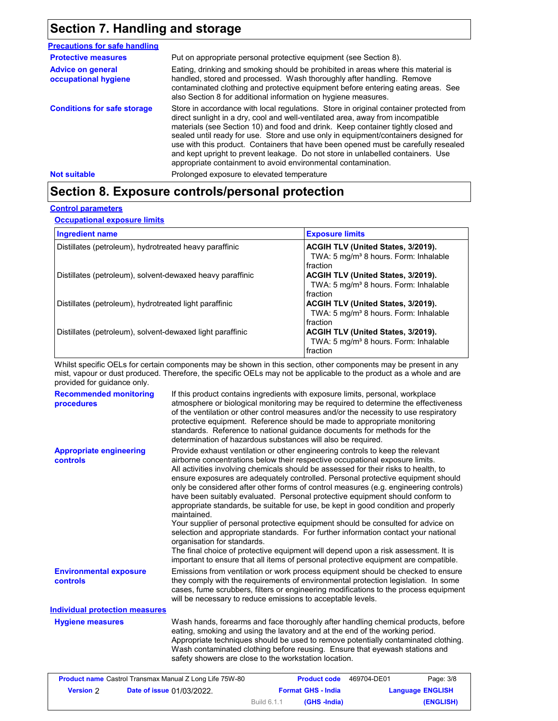## **Section 7. Handling and storage**

| <b>Precautions for safe handling</b>             |                                                                                                                                                                                                                                                                                                                                                                                                                                                                                                                                                                                                |
|--------------------------------------------------|------------------------------------------------------------------------------------------------------------------------------------------------------------------------------------------------------------------------------------------------------------------------------------------------------------------------------------------------------------------------------------------------------------------------------------------------------------------------------------------------------------------------------------------------------------------------------------------------|
| <b>Protective measures</b>                       | Put on appropriate personal protective equipment (see Section 8).                                                                                                                                                                                                                                                                                                                                                                                                                                                                                                                              |
| <b>Advice on general</b><br>occupational hygiene | Eating, drinking and smoking should be prohibited in areas where this material is<br>handled, stored and processed. Wash thoroughly after handling. Remove<br>contaminated clothing and protective equipment before entering eating areas. See<br>also Section 8 for additional information on hygiene measures.                                                                                                                                                                                                                                                                               |
| <b>Conditions for safe storage</b>               | Store in accordance with local regulations. Store in original container protected from<br>direct sunlight in a dry, cool and well-ventilated area, away from incompatible<br>materials (see Section 10) and food and drink. Keep container tightly closed and<br>sealed until ready for use. Store and use only in equipment/containers designed for<br>use with this product. Containers that have been opened must be carefully resealed<br>and kept upright to prevent leakage. Do not store in unlabelled containers. Use<br>appropriate containment to avoid environmental contamination. |
| <b>Not suitable</b>                              | Prolonged exposure to elevated temperature                                                                                                                                                                                                                                                                                                                                                                                                                                                                                                                                                     |

## **Section 8. Exposure controls/personal protection**

### **Control parameters**

**Occupational exposure limits**

| <b>Ingredient name</b>                                    | <b>Exposure limits</b>                                                                              |
|-----------------------------------------------------------|-----------------------------------------------------------------------------------------------------|
| Distillates (petroleum), hydrotreated heavy paraffinic    | ACGIH TLV (United States, 3/2019).<br>TWA: 5 mg/m <sup>3</sup> 8 hours. Form: Inhalable<br>fraction |
| Distillates (petroleum), solvent-dewaxed heavy paraffinic | ACGIH TLV (United States, 3/2019).<br>TWA: 5 mg/m <sup>3</sup> 8 hours. Form: Inhalable<br>fraction |
| Distillates (petroleum), hydrotreated light paraffinic    | ACGIH TLV (United States, 3/2019).<br>TWA: 5 mg/m <sup>3</sup> 8 hours. Form: Inhalable<br>fraction |
| Distillates (petroleum), solvent-dewaxed light paraffinic | ACGIH TLV (United States, 3/2019).<br>TWA: 5 mg/m <sup>3</sup> 8 hours. Form: Inhalable<br>fraction |

Whilst specific OELs for certain components may be shown in this section, other components may be present in any mist, vapour or dust produced. Therefore, the specific OELs may not be applicable to the product as a whole and are provided for guidance only.

| <b>Recommended monitoring</b><br>procedures       | If this product contains ingredients with exposure limits, personal, workplace<br>atmosphere or biological monitoring may be required to determine the effectiveness<br>of the ventilation or other control measures and/or the necessity to use respiratory<br>protective equipment. Reference should be made to appropriate monitoring<br>standards. Reference to national guidance documents for methods for the<br>determination of hazardous substances will also be required.                                                                                                                                                                                                                                                                                                                                                                                                                                                                                                                           |
|---------------------------------------------------|---------------------------------------------------------------------------------------------------------------------------------------------------------------------------------------------------------------------------------------------------------------------------------------------------------------------------------------------------------------------------------------------------------------------------------------------------------------------------------------------------------------------------------------------------------------------------------------------------------------------------------------------------------------------------------------------------------------------------------------------------------------------------------------------------------------------------------------------------------------------------------------------------------------------------------------------------------------------------------------------------------------|
| <b>Appropriate engineering</b><br><b>controls</b> | Provide exhaust ventilation or other engineering controls to keep the relevant<br>airborne concentrations below their respective occupational exposure limits.<br>All activities involving chemicals should be assessed for their risks to health, to<br>ensure exposures are adequately controlled. Personal protective equipment should<br>only be considered after other forms of control measures (e.g. engineering controls)<br>have been suitably evaluated. Personal protective equipment should conform to<br>appropriate standards, be suitable for use, be kept in good condition and properly<br>maintained.<br>Your supplier of personal protective equipment should be consulted for advice on<br>selection and appropriate standards. For further information contact your national<br>organisation for standards.<br>The final choice of protective equipment will depend upon a risk assessment. It is<br>important to ensure that all items of personal protective equipment are compatible. |
| <b>Environmental exposure</b><br><b>controls</b>  | Emissions from ventilation or work process equipment should be checked to ensure<br>they comply with the requirements of environmental protection legislation. In some<br>cases, fume scrubbers, filters or engineering modifications to the process equipment<br>will be necessary to reduce emissions to acceptable levels.                                                                                                                                                                                                                                                                                                                                                                                                                                                                                                                                                                                                                                                                                 |
| <b>Individual protection measures</b>             |                                                                                                                                                                                                                                                                                                                                                                                                                                                                                                                                                                                                                                                                                                                                                                                                                                                                                                                                                                                                               |
| <b>Hygiene measures</b>                           | Wash hands, forearms and face thoroughly after handling chemical products, before<br>eating, smoking and using the lavatory and at the end of the working period.<br>Appropriate techniques should be used to remove potentially contaminated clothing.<br>Wash contaminated clothing before reusing. Ensure that eyewash stations and<br>safety showers are close to the workstation location.                                                                                                                                                                                                                                                                                                                                                                                                                                                                                                                                                                                                               |

| <b>Product name</b> Castrol Transmax Manual Z Long Life 75W-80 |                                  |                           | <b>Product code</b> | 469704-DE01             | Page: 3/8 |
|----------------------------------------------------------------|----------------------------------|---------------------------|---------------------|-------------------------|-----------|
| <b>Version</b> 2                                               | <b>Date of issue 01/03/2022.</b> | <b>Format GHS - India</b> |                     | <b>Language ENGLISH</b> |           |
|                                                                |                                  | Build 6.1.1               | (GHS -India)        |                         | (ENGLISH) |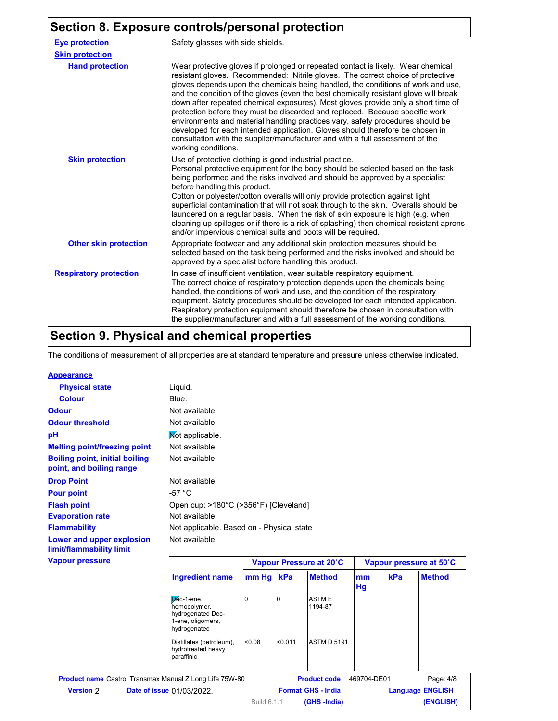## **Section 8. Exposure controls/personal protection**

| <b>Eye protection</b>         | Safety glasses with side shields.                                                                                                                                                                                                                                                                                                                                                                                                                                                                                                                                                                                                                                                                                                                                                               |
|-------------------------------|-------------------------------------------------------------------------------------------------------------------------------------------------------------------------------------------------------------------------------------------------------------------------------------------------------------------------------------------------------------------------------------------------------------------------------------------------------------------------------------------------------------------------------------------------------------------------------------------------------------------------------------------------------------------------------------------------------------------------------------------------------------------------------------------------|
| <b>Skin protection</b>        |                                                                                                                                                                                                                                                                                                                                                                                                                                                                                                                                                                                                                                                                                                                                                                                                 |
| <b>Hand protection</b>        | Wear protective gloves if prolonged or repeated contact is likely. Wear chemical<br>resistant gloves. Recommended: Nitrile gloves. The correct choice of protective<br>gloves depends upon the chemicals being handled, the conditions of work and use,<br>and the condition of the gloves (even the best chemically resistant glove will break<br>down after repeated chemical exposures). Most gloves provide only a short time of<br>protection before they must be discarded and replaced. Because specific work<br>environments and material handling practices vary, safety procedures should be<br>developed for each intended application. Gloves should therefore be chosen in<br>consultation with the supplier/manufacturer and with a full assessment of the<br>working conditions. |
| <b>Skin protection</b>        | Use of protective clothing is good industrial practice.<br>Personal protective equipment for the body should be selected based on the task<br>being performed and the risks involved and should be approved by a specialist<br>before handling this product.<br>Cotton or polyester/cotton overalls will only provide protection against light<br>superficial contamination that will not soak through to the skin. Overalls should be<br>laundered on a regular basis. When the risk of skin exposure is high (e.g. when<br>cleaning up spillages or if there is a risk of splashing) then chemical resistant aprons<br>and/or impervious chemical suits and boots will be required.                                                                                                           |
| <b>Other skin protection</b>  | Appropriate footwear and any additional skin protection measures should be<br>selected based on the task being performed and the risks involved and should be<br>approved by a specialist before handling this product.                                                                                                                                                                                                                                                                                                                                                                                                                                                                                                                                                                         |
| <b>Respiratory protection</b> | In case of insufficient ventilation, wear suitable respiratory equipment.<br>The correct choice of respiratory protection depends upon the chemicals being<br>handled, the conditions of work and use, and the condition of the respiratory<br>equipment. Safety procedures should be developed for each intended application.<br>Respiratory protection equipment should therefore be chosen in consultation with<br>the supplier/manufacturer and with a full assessment of the working conditions.                                                                                                                                                                                                                                                                                           |

## **Section 9. Physical and chemical properties**

The conditions of measurement of all properties are at standard temperature and pressure unless otherwise indicated.

| <b>Appearance</b>                                                 |                                           |                         |  |  |  |
|-------------------------------------------------------------------|-------------------------------------------|-------------------------|--|--|--|
| <b>Physical state</b>                                             | Liquid.                                   |                         |  |  |  |
| <b>Colour</b>                                                     | Blue.                                     |                         |  |  |  |
| <b>Odour</b>                                                      | Not available.                            |                         |  |  |  |
| <b>Odour threshold</b>                                            | Not available.                            |                         |  |  |  |
| рH                                                                | Not applicable.                           |                         |  |  |  |
| <b>Melting point/freezing point</b>                               | Not available.                            |                         |  |  |  |
| <b>Boiling point, initial boiling</b><br>point, and boiling range | Not available.                            |                         |  |  |  |
| <b>Drop Point</b>                                                 | Not available.                            |                         |  |  |  |
| <b>Pour point</b>                                                 | -57 $^{\circ}$ C                          |                         |  |  |  |
| <b>Flash point</b>                                                | Open cup: >180°C (>356°F) [Cleveland]     |                         |  |  |  |
| <b>Evaporation rate</b>                                           | Not available.                            |                         |  |  |  |
| <b>Flammability</b>                                               | Not applicable. Based on - Physical state |                         |  |  |  |
| Lower and upper explosion<br>limit/flammability limit             | Not available.                            |                         |  |  |  |
| <b>Vapour pressure</b>                                            |                                           | Vapour Pressure at 20°C |  |  |  |

| apour pressure |                                  |                                                                                       | Vapour Pressure at 20°C |         |                           | Vapour pressure at 50°C |     |                         |
|----------------|----------------------------------|---------------------------------------------------------------------------------------|-------------------------|---------|---------------------------|-------------------------|-----|-------------------------|
|                |                                  | <b>Ingredient name</b>                                                                | mm Hg   kPa             |         | <b>Method</b>             | mm<br>Hg                | kPa | <b>Method</b>           |
|                |                                  | $D6c-1-ene$<br>homopolymer,<br>hydrogenated Dec-<br>1-ene, oligomers,<br>hydrogenated |                         |         | <b>ASTM E</b><br>1194-87  |                         |     |                         |
|                |                                  | Distillates (petroleum),<br>hydrotreated heavy<br>paraffinic                          | < 0.08                  | < 0.011 | <b>ASTM D 5191</b>        |                         |     |                         |
|                |                                  | <b>Product name</b> Castrol Transmax Manual Z Long Life 75W-80                        |                         |         | <b>Product code</b>       | 469704-DE01             |     | Page: 4/8               |
| Version 2      | <b>Date of issue 01/03/2022.</b> |                                                                                       |                         |         | <b>Format GHS - India</b> |                         |     | <b>Language ENGLISH</b> |
|                |                                  |                                                                                       | <b>Build 6.1.1</b>      |         | (GHS-India)               |                         |     | (ENGLISH)               |
|                |                                  |                                                                                       |                         |         |                           |                         |     |                         |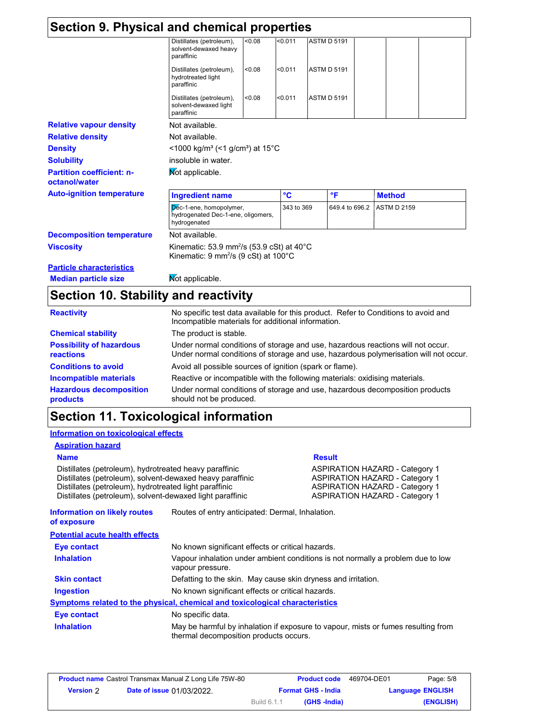| Section 9. Physical and chemical properties       |                                                                                                                     |        |            |                    |                |                    |  |  |
|---------------------------------------------------|---------------------------------------------------------------------------------------------------------------------|--------|------------|--------------------|----------------|--------------------|--|--|
|                                                   | Distillates (petroleum),<br>solvent-dewaxed heavy<br>paraffinic                                                     | <0.08  | < 0.011    | <b>ASTM D 5191</b> |                |                    |  |  |
|                                                   | Distillates (petroleum),<br>hydrotreated light<br>paraffinic                                                        | < 0.08 | < 0.011    | <b>ASTM D 5191</b> |                |                    |  |  |
|                                                   | Distillates (petroleum),<br>solvent-dewaxed light<br>paraffinic                                                     | < 0.08 | < 0.011    | <b>ASTM D 5191</b> |                |                    |  |  |
| <b>Relative vapour density</b>                    | Not available.                                                                                                      |        |            |                    |                |                    |  |  |
| <b>Relative density</b>                           | Not available.                                                                                                      |        |            |                    |                |                    |  |  |
| <b>Density</b>                                    | $\leq$ 1000 kg/m <sup>3</sup> (<1 g/cm <sup>3</sup> ) at 15 <sup>°</sup> C                                          |        |            |                    |                |                    |  |  |
| <b>Solubility</b>                                 | insoluble in water.                                                                                                 |        |            |                    |                |                    |  |  |
| <b>Partition coefficient: n-</b><br>octanol/water | Not applicable.                                                                                                     |        |            |                    |                |                    |  |  |
| <b>Auto-ignition temperature</b>                  | <b>Ingredient name</b>                                                                                              |        | °C         |                    | °F             | <b>Method</b>      |  |  |
|                                                   | Dec-1-ene, homopolymer,<br>hydrogenated Dec-1-ene, oligomers,<br>hydrogenated                                       |        | 343 to 369 |                    | 649.4 to 696.2 | <b>ASTM D 2159</b> |  |  |
| <b>Decomposition temperature</b>                  | Not available.                                                                                                      |        |            |                    |                |                    |  |  |
| <b>Viscosity</b>                                  | Kinematic: 53.9 mm <sup>2</sup> /s (53.9 cSt) at $40^{\circ}$ C<br>Kinematic: 9 mm <sup>2</sup> /s (9 cSt) at 100°C |        |            |                    |                |                    |  |  |
| <b>Particle characteristics</b>                   |                                                                                                                     |        |            |                    |                |                    |  |  |
| <b>Median particle size</b>                       | Mot applicable.                                                                                                     |        |            |                    |                |                    |  |  |
| Section 10. Stability and reactivity              |                                                                                                                     |        |            |                    |                |                    |  |  |

| <b>Reactivity</b>                                   | No specific test data available for this product. Refer to Conditions to avoid and<br>Incompatible materials for additional information.                                |  |  |  |
|-----------------------------------------------------|-------------------------------------------------------------------------------------------------------------------------------------------------------------------------|--|--|--|
| <b>Chemical stability</b>                           | The product is stable.                                                                                                                                                  |  |  |  |
| <b>Possibility of hazardous</b><br><b>reactions</b> | Under normal conditions of storage and use, hazardous reactions will not occur.<br>Under normal conditions of storage and use, hazardous polymerisation will not occur. |  |  |  |
| <b>Conditions to avoid</b>                          | Avoid all possible sources of ignition (spark or flame).                                                                                                                |  |  |  |
| <b>Incompatible materials</b>                       | Reactive or incompatible with the following materials: oxidising materials.                                                                                             |  |  |  |
| <b>Hazardous decomposition</b><br>products          | Under normal conditions of storage and use, hazardous decomposition products<br>should not be produced.                                                                 |  |  |  |

# **Section 11. Toxicological information**

### **Information on toxicological effects**

| <b>Aspiration hazard</b>                                                                                                                                                                                                                   |                                                                                                     |                                                                                                                                                                  |  |  |
|--------------------------------------------------------------------------------------------------------------------------------------------------------------------------------------------------------------------------------------------|-----------------------------------------------------------------------------------------------------|------------------------------------------------------------------------------------------------------------------------------------------------------------------|--|--|
| <b>Name</b>                                                                                                                                                                                                                                |                                                                                                     | <b>Result</b>                                                                                                                                                    |  |  |
| Distillates (petroleum), hydrotreated heavy paraffinic<br>Distillates (petroleum), solvent-dewaxed heavy paraffinic<br>Distillates (petroleum), hydrotreated light paraffinic<br>Distillates (petroleum), solvent-dewaxed light paraffinic |                                                                                                     | <b>ASPIRATION HAZARD - Category 1</b><br><b>ASPIRATION HAZARD - Category 1</b><br><b>ASPIRATION HAZARD - Category 1</b><br><b>ASPIRATION HAZARD - Category 1</b> |  |  |
| <b>Information on likely routes</b><br>of exposure                                                                                                                                                                                         | Routes of entry anticipated: Dermal, Inhalation.                                                    |                                                                                                                                                                  |  |  |
| <b>Potential acute health effects</b>                                                                                                                                                                                                      |                                                                                                     |                                                                                                                                                                  |  |  |
| Eye contact                                                                                                                                                                                                                                | No known significant effects or critical hazards.                                                   |                                                                                                                                                                  |  |  |
| <b>Inhalation</b>                                                                                                                                                                                                                          | Vapour inhalation under ambient conditions is not normally a problem due to low<br>vapour pressure. |                                                                                                                                                                  |  |  |
| <b>Skin contact</b>                                                                                                                                                                                                                        | Defatting to the skin. May cause skin dryness and irritation.                                       |                                                                                                                                                                  |  |  |
| <b>Ingestion</b>                                                                                                                                                                                                                           | No known significant effects or critical hazards.                                                   |                                                                                                                                                                  |  |  |
|                                                                                                                                                                                                                                            | Symptoms related to the physical, chemical and toxicological characteristics                        |                                                                                                                                                                  |  |  |
| Eye contact                                                                                                                                                                                                                                | No specific data.                                                                                   |                                                                                                                                                                  |  |  |
| <b>Inhalation</b>                                                                                                                                                                                                                          | May be harmful by inhalation if exposure to vapour, mists or fumes resulting from                   |                                                                                                                                                                  |  |  |

|                  | <b>Product name</b> Castrol Transmax Manual Z Long Life 75W-80 |                           | <b>Product code</b> | 469704-DE01 | Page: 5/8               |
|------------------|----------------------------------------------------------------|---------------------------|---------------------|-------------|-------------------------|
| <b>Version 2</b> | <b>Date of issue 01/03/2022.</b>                               | <b>Format GHS - India</b> |                     |             | <b>Language ENGLISH</b> |
|                  |                                                                | Build 6.1.1               | (GHS -India)        |             | (ENGLISH)               |

thermal decomposition products occurs.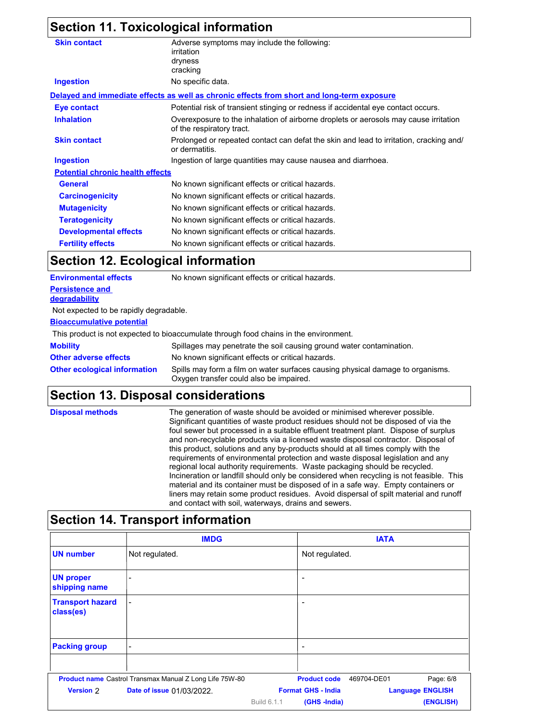| <b>Section 11. Toxicological information</b> |                                                                                                                   |  |  |  |
|----------------------------------------------|-------------------------------------------------------------------------------------------------------------------|--|--|--|
| <b>Skin contact</b>                          | Adverse symptoms may include the following:<br>irritation<br>dryness<br>cracking                                  |  |  |  |
| <b>Ingestion</b>                             | No specific data.                                                                                                 |  |  |  |
|                                              | Delayed and immediate effects as well as chronic effects from short and long-term exposure                        |  |  |  |
| <b>Eye contact</b>                           | Potential risk of transient stinging or redness if accidental eye contact occurs.                                 |  |  |  |
| <b>Inhalation</b>                            | Overexposure to the inhalation of airborne droplets or aerosols may cause irritation<br>of the respiratory tract. |  |  |  |
| <b>Skin contact</b>                          | Prolonged or repeated contact can defat the skin and lead to irritation, cracking and/<br>or dermatitis.          |  |  |  |
| <b>Ingestion</b>                             | Ingestion of large quantities may cause nausea and diarrhoea.                                                     |  |  |  |
| <b>Potential chronic health effects</b>      |                                                                                                                   |  |  |  |
| <b>General</b>                               | No known significant effects or critical hazards.                                                                 |  |  |  |
| <b>Carcinogenicity</b>                       | No known significant effects or critical hazards.                                                                 |  |  |  |
| <b>Mutagenicity</b>                          | No known significant effects or critical hazards.                                                                 |  |  |  |
| <b>Teratogenicity</b>                        | No known significant effects or critical hazards.                                                                 |  |  |  |
| <b>Developmental effects</b>                 | No known significant effects or critical hazards.                                                                 |  |  |  |
| <b>Fertility effects</b>                     | No known significant effects or critical hazards.                                                                 |  |  |  |

# **Section 12. Ecological information**

| <b>Environmental effects</b>                                                      | No known significant effects or critical hazards.                                                                         |  |  |  |
|-----------------------------------------------------------------------------------|---------------------------------------------------------------------------------------------------------------------------|--|--|--|
| <b>Persistence and</b><br>degradability                                           |                                                                                                                           |  |  |  |
| Not expected to be rapidly degradable.                                            |                                                                                                                           |  |  |  |
| <b>Bioaccumulative potential</b>                                                  |                                                                                                                           |  |  |  |
|                                                                                   | This product is not expected to bioaccumulate through food chains in the environment.                                     |  |  |  |
| <b>Mobility</b>                                                                   | Spillages may penetrate the soil causing ground water contamination.                                                      |  |  |  |
| <b>Other adverse effects</b><br>No known significant effects or critical hazards. |                                                                                                                           |  |  |  |
| <b>Other ecological information</b>                                               | Spills may form a film on water surfaces causing physical damage to organisms.<br>Oxygen transfer could also be impaired. |  |  |  |

# **Section 13. Disposal considerations**

| <b>Disposal methods</b> | The generation of waste should be avoided or minimised wherever possible.<br>Significant quantities of waste product residues should not be disposed of via the<br>foul sewer but processed in a suitable effluent treatment plant. Dispose of surplus<br>and non-recyclable products via a licensed waste disposal contractor. Disposal of<br>this product, solutions and any by-products should at all times comply with the<br>requirements of environmental protection and waste disposal legislation and any<br>regional local authority requirements. Waste packaging should be recycled.<br>Incineration or landfill should only be considered when recycling is not feasible. This<br>material and its container must be disposed of in a safe way. Empty containers or<br>liners may retain some product residues. Avoid dispersal of spilt material and runoff |
|-------------------------|--------------------------------------------------------------------------------------------------------------------------------------------------------------------------------------------------------------------------------------------------------------------------------------------------------------------------------------------------------------------------------------------------------------------------------------------------------------------------------------------------------------------------------------------------------------------------------------------------------------------------------------------------------------------------------------------------------------------------------------------------------------------------------------------------------------------------------------------------------------------------|
|                         | and contact with soil, waterways, drains and sewers.                                                                                                                                                                                                                                                                                                                                                                                                                                                                                                                                                                                                                                                                                                                                                                                                                     |

# **Section 14. Transport information**

|                                      | <b>IMDG</b>                                                    |             |                           | <b>IATA</b> |                         |
|--------------------------------------|----------------------------------------------------------------|-------------|---------------------------|-------------|-------------------------|
| <b>UN number</b>                     | Not regulated.                                                 |             | Not regulated.            |             |                         |
| <b>UN proper</b><br>shipping name    |                                                                |             | -                         |             |                         |
| <b>Transport hazard</b><br>class(es) |                                                                |             | -                         |             |                         |
| <b>Packing group</b>                 |                                                                |             | -                         |             |                         |
|                                      |                                                                |             |                           |             |                         |
|                                      | <b>Product name</b> Castrol Transmax Manual Z Long Life 75W-80 |             | <b>Product code</b>       | 469704-DE01 | Page: 6/8               |
| <b>Version 2</b>                     | Date of issue 01/03/2022.                                      |             | <b>Format GHS - India</b> |             | <b>Language ENGLISH</b> |
|                                      |                                                                | Build 6.1.1 | (GHS-India)               |             | (ENGLISH)               |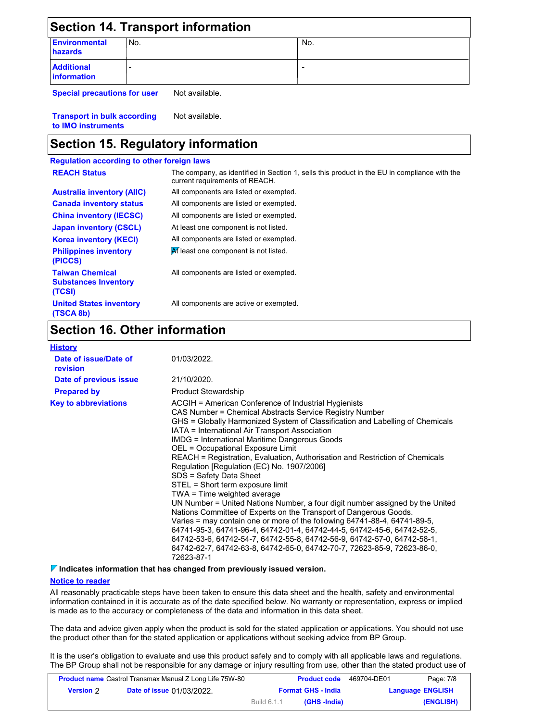| <b>Section 14. Transport information</b> |     |     |  |  |  |
|------------------------------------------|-----|-----|--|--|--|
| <b>Environmental</b><br>hazards          | No. | No. |  |  |  |
| <b>Additional</b><br><b>information</b>  |     |     |  |  |  |

**Special precautions for user** Not available.

**Transport in bulk according to IMO instruments** Not available.

## **Section 15. Regulatory information**

| <b>Regulation according to other foreign laws</b>               |                                                                                                                                |
|-----------------------------------------------------------------|--------------------------------------------------------------------------------------------------------------------------------|
| <b>REACH Status</b>                                             | The company, as identified in Section 1, sells this product in the EU in compliance with the<br>current requirements of REACH. |
| <b>Australia inventory (AIIC)</b>                               | All components are listed or exempted.                                                                                         |
| <b>Canada inventory status</b>                                  | All components are listed or exempted.                                                                                         |
| <b>China inventory (IECSC)</b>                                  | All components are listed or exempted.                                                                                         |
| <b>Japan inventory (CSCL)</b>                                   | At least one component is not listed.                                                                                          |
| <b>Korea inventory (KECI)</b>                                   | All components are listed or exempted.                                                                                         |
| <b>Philippines inventory</b><br>(PICCS)                         | A least one component is not listed.                                                                                           |
| <b>Taiwan Chemical</b><br><b>Substances Inventory</b><br>(TCSI) | All components are listed or exempted.                                                                                         |
| <b>United States inventory</b><br>(TSCA 8b)                     | All components are active or exempted.                                                                                         |

## **Section 16. Other information**

| <u>History</u>                    |                                                                                                                                                                                                                                                                                                                                                                                                                                                                                                                                                                                                                                                                                                                                                                                                                                                                                                                                                                                                                                                               |
|-----------------------------------|---------------------------------------------------------------------------------------------------------------------------------------------------------------------------------------------------------------------------------------------------------------------------------------------------------------------------------------------------------------------------------------------------------------------------------------------------------------------------------------------------------------------------------------------------------------------------------------------------------------------------------------------------------------------------------------------------------------------------------------------------------------------------------------------------------------------------------------------------------------------------------------------------------------------------------------------------------------------------------------------------------------------------------------------------------------|
| Date of issue/Date of<br>revision | 01/03/2022.                                                                                                                                                                                                                                                                                                                                                                                                                                                                                                                                                                                                                                                                                                                                                                                                                                                                                                                                                                                                                                                   |
| Date of previous issue            | 21/10/2020.                                                                                                                                                                                                                                                                                                                                                                                                                                                                                                                                                                                                                                                                                                                                                                                                                                                                                                                                                                                                                                                   |
| <b>Prepared by</b>                | <b>Product Stewardship</b>                                                                                                                                                                                                                                                                                                                                                                                                                                                                                                                                                                                                                                                                                                                                                                                                                                                                                                                                                                                                                                    |
| <b>Key to abbreviations</b>       | ACGIH = American Conference of Industrial Hygienists<br>CAS Number = Chemical Abstracts Service Registry Number<br>GHS = Globally Harmonized System of Classification and Labelling of Chemicals<br>IATA = International Air Transport Association<br><b>IMDG = International Maritime Dangerous Goods</b><br>OEL = Occupational Exposure Limit<br>REACH = Registration, Evaluation, Authorisation and Restriction of Chemicals<br>Regulation [Regulation (EC) No. 1907/2006]<br>SDS = Safety Data Sheet<br>STEL = Short term exposure limit<br>TWA = Time weighted average<br>UN Number = United Nations Number, a four digit number assigned by the United<br>Nations Committee of Experts on the Transport of Dangerous Goods.<br>Varies = may contain one or more of the following 64741-88-4, 64741-89-5,<br>64741-95-3, 64741-96-4, 64742-01-4, 64742-44-5, 64742-45-6, 64742-52-5,<br>64742-53-6, 64742-54-7, 64742-55-8, 64742-56-9, 64742-57-0, 64742-58-1,<br>64742-62-7, 64742-63-8, 64742-65-0, 64742-70-7, 72623-85-9, 72623-86-0,<br>72623-87-1 |
|                                   |                                                                                                                                                                                                                                                                                                                                                                                                                                                                                                                                                                                                                                                                                                                                                                                                                                                                                                                                                                                                                                                               |

#### **Indicates information that has changed from previously issued version.**

#### **Notice to reader**

All reasonably practicable steps have been taken to ensure this data sheet and the health, safety and environmental information contained in it is accurate as of the date specified below. No warranty or representation, express or implied is made as to the accuracy or completeness of the data and information in this data sheet.

The data and advice given apply when the product is sold for the stated application or applications. You should not use the product other than for the stated application or applications without seeking advice from BP Group.

It is the user's obligation to evaluate and use this product safely and to comply with all applicable laws and regulations. The BP Group shall not be responsible for any damage or injury resulting from use, other than the stated product use of

|                  | <b>Product name</b> Castrol Transmax Manual Z Long Life 75W-80 |                                                      | <b>Product code</b> | 469704-DE01 | Page: 7/8 |
|------------------|----------------------------------------------------------------|------------------------------------------------------|---------------------|-------------|-----------|
| <b>Version</b> 2 | <b>Date of issue 01/03/2022.</b>                               | <b>Format GHS - India</b><br><b>Language ENGLISH</b> |                     |             |           |
|                  |                                                                | Build 6.1.1                                          | (GHS -India)        |             | (ENGLISH) |